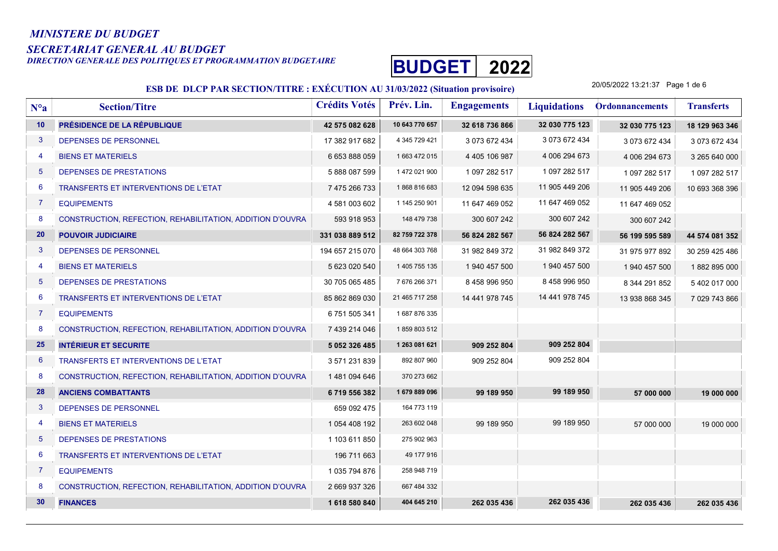#### MINISTERE DU BUDGET

SECRETARIAT GENERAL AU BUDGET<br>DIRECTION GENERALE DES POLITIQUES ET PROGRAMMATION BUDGETAIRE



#### ESB DE DLCP PAR SECTION/TITRE : EXÉCUTION AU 31/03/2022 (Situation provisoire)

20/05/2022 13:21:37 Page 1 de 6

| $N^o a$         | <b>Section/Titre</b>                                      | <b>Crédits Votés</b> | Prév. Lin.     | <b>Engagements</b> | <b>Liquidations</b> | <b>Ordonnancements</b> | <b>Transferts</b> |
|-----------------|-----------------------------------------------------------|----------------------|----------------|--------------------|---------------------|------------------------|-------------------|
| 10              | PRÉSIDENCE DE LA RÉPUBLIQUE                               | 42 575 082 628       | 10 643 770 657 | 32 618 736 866     | 32 030 775 123      | 32 030 775 123         | 18 129 963 346    |
| 3               | DEPENSES DE PERSONNEL                                     | 17 382 917 682       | 4 345 729 421  | 3 073 672 434      | 3 073 672 434       | 3 073 672 434          | 3 073 672 434     |
| $\overline{4}$  | <b>BIENS ET MATERIELS</b>                                 | 6 653 888 059        | 1663 472 015   | 4 405 106 987      | 4 006 294 673       | 4 006 294 673          | 3 265 640 000     |
| $5\phantom{.0}$ | DEPENSES DE PRESTATIONS                                   | 5888087599           | 1 472 021 900  | 1 097 282 517      | 1 097 282 517       | 1 097 282 517          | 1 097 282 517     |
| 6               | TRANSFERTS ET INTERVENTIONS DE L'ETAT                     | 7 475 266 733        | 1868816683     | 12 094 598 635     | 11 905 449 206      | 11 905 449 206         | 10 693 368 396    |
| $\overline{7}$  | <b>EQUIPEMENTS</b>                                        | 4 581 003 602        | 1 145 250 901  | 11 647 469 052     | 11 647 469 052      | 11 647 469 052         |                   |
| 8               | CONSTRUCTION, REFECTION, REHABILITATION, ADDITION D'OUVRA | 593 918 953          | 148 479 738    | 300 607 242        | 300 607 242         | 300 607 242            |                   |
| 20              | <b>POUVOIR JUDICIAIRE</b>                                 | 331 038 889 512      | 82 759 722 378 | 56 824 282 567     | 56 824 282 567      | 56 199 595 589         | 44 574 081 352    |
| $\mathbf{3}$    | <b>DEPENSES DE PERSONNEL</b>                              | 194 657 215 070      | 48 664 303 768 | 31 982 849 372     | 31 982 849 372      | 31 975 977 892         | 30 259 425 486    |
| $\overline{4}$  | <b>BIENS ET MATERIELS</b>                                 | 5 623 020 540        | 1 405 755 135  | 1 940 457 500      | 1 940 457 500       | 1 940 457 500          | 1882 895 000      |
| $5\phantom{.0}$ | DEPENSES DE PRESTATIONS                                   | 30 705 065 485       | 7 676 266 371  | 8 458 996 950      | 8 458 996 950       | 8 344 291 852          | 5 402 017 000     |
| 6               | <b>TRANSFERTS ET INTERVENTIONS DE L'ETAT</b>              | 85 862 869 030       | 21 465 717 258 | 14 441 978 745     | 14 441 978 745      | 13 938 868 345         | 7 029 743 866     |
| $\overline{7}$  | <b>EQUIPEMENTS</b>                                        | 6751505341           | 1 687 876 335  |                    |                     |                        |                   |
| 8               | CONSTRUCTION, REFECTION, REHABILITATION, ADDITION D'OUVRA | 7 439 214 046        | 1859803512     |                    |                     |                        |                   |
| 25              | <b>INTÉRIEUR ET SECURITE</b>                              | 5 052 326 485        | 1 263 081 621  | 909 252 804        | 909 252 804         |                        |                   |
| 6               | <b>TRANSFERTS ET INTERVENTIONS DE L'ETAT</b>              | 3 571 231 839        | 892 807 960    | 909 252 804        | 909 252 804         |                        |                   |
| 8               | CONSTRUCTION, REFECTION, REHABILITATION, ADDITION D'OUVRA | 1481094646           | 370 273 662    |                    |                     |                        |                   |
| 28              | <b>ANCIENS COMBATTANTS</b>                                | 6719556382           | 1679889096     | 99 189 950         | 99 189 950          | 57 000 000             | 19 000 000        |
| $\mathbf{3}$    | DEPENSES DE PERSONNEL                                     | 659 092 475          | 164 773 119    |                    |                     |                        |                   |
| $\overline{4}$  | <b>BIENS ET MATERIELS</b>                                 | 1 054 408 192        | 263 602 048    | 99 189 950         | 99 189 950          | 57 000 000             | 19 000 000        |
| $5\overline{)}$ | DEPENSES DE PRESTATIONS                                   | 1 103 611 850        | 275 902 963    |                    |                     |                        |                   |
| $6\phantom{1}6$ | TRANSFERTS ET INTERVENTIONS DE L'ETAT                     | 196 711 663          | 49 177 916     |                    |                     |                        |                   |
| $\overline{7}$  | <b>EQUIPEMENTS</b>                                        | 1 035 794 876        | 258 948 719    |                    |                     |                        |                   |
| 8               | CONSTRUCTION, REFECTION, REHABILITATION, ADDITION D'OUVRA | 2 669 937 326        | 667 484 332    |                    |                     |                        |                   |
| 30              | <b>FINANCES</b>                                           | 1618580840           | 404 645 210    | 262 035 436        | 262 035 436         | 262 035 436            | 262 035 436       |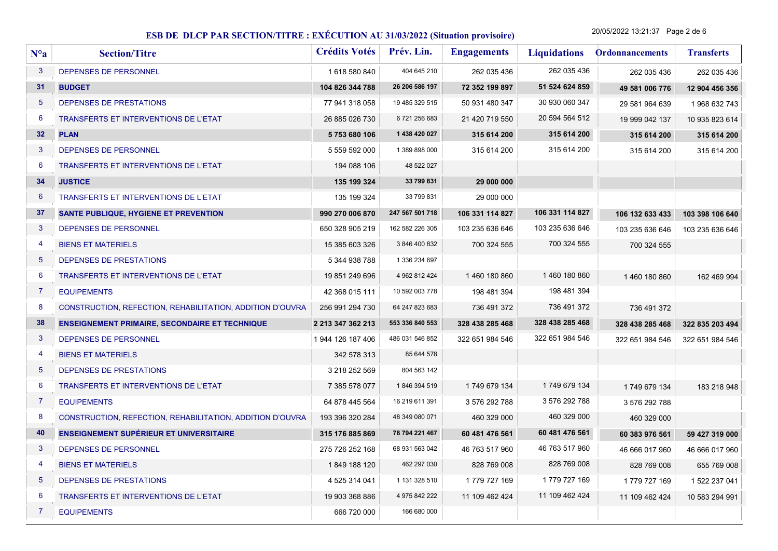20/05/2022 13:21:37 Page 2 de 6

| $N^o a$         | <b>Section/Titre</b>                                      | <b>Crédits Votés</b> | Prév. Lin.      | <b>Engagements</b> | <b>Liquidations</b> | <b>Ordonnancements</b> | <b>Transferts</b> |
|-----------------|-----------------------------------------------------------|----------------------|-----------------|--------------------|---------------------|------------------------|-------------------|
| 3               | DEPENSES DE PERSONNEL                                     | 1618580840           | 404 645 210     | 262 035 436        | 262 035 436         | 262 035 436            | 262 035 436       |
| 31              | <b>BUDGET</b>                                             | 104 826 344 788      | 26 206 586 197  | 72 352 199 897     | 51 524 624 859      | 49 581 006 776         | 12 904 456 356    |
| 5               | DEPENSES DE PRESTATIONS                                   | 77 941 318 058       | 19 485 329 515  | 50 931 480 347     | 30 930 060 347      | 29 581 964 639         | 1968 632 743      |
| 6               | TRANSFERTS ET INTERVENTIONS DE L'ETAT                     | 26 885 026 730       | 6721256683      | 21 420 719 550     | 20 594 564 512      | 19 999 042 137         | 10 935 823 614    |
| 32 <sub>2</sub> | <b>PLAN</b>                                               | 5753680106           | 1 438 420 027   | 315 614 200        | 315 614 200         | 315 614 200            | 315 614 200       |
| 3               | DEPENSES DE PERSONNEL                                     | 5 559 592 000        | 1 389 898 000   | 315 614 200        | 315 614 200         | 315 614 200            | 315 614 200       |
| 6               | TRANSFERTS ET INTERVENTIONS DE L'ETAT                     | 194 088 106          | 48 522 027      |                    |                     |                        |                   |
| 34              | <b>JUSTICE</b>                                            | 135 199 324          | 33 799 831      | 29 000 000         |                     |                        |                   |
| 6               | TRANSFERTS ET INTERVENTIONS DE L'ETAT                     | 135 199 324          | 33 799 831      | 29 000 000         |                     |                        |                   |
| 37              | <b>SANTE PUBLIQUE, HYGIENE ET PREVENTION</b>              | 990 270 006 870      | 247 567 501 718 | 106 331 114 827    | 106 331 114 827     | 106 132 633 433        | 103 398 106 640   |
| 3               | DEPENSES DE PERSONNEL                                     | 650 328 905 219      | 162 582 226 305 | 103 235 636 646    | 103 235 636 646     | 103 235 636 646        | 103 235 636 646   |
| 4               | <b>BIENS ET MATERIELS</b>                                 | 15 385 603 326       | 3 846 400 832   | 700 324 555        | 700 324 555         | 700 324 555            |                   |
| 5               | DEPENSES DE PRESTATIONS                                   | 5 344 938 788        | 1 336 234 697   |                    |                     |                        |                   |
| 6               | TRANSFERTS ET INTERVENTIONS DE L'ETAT                     | 19 851 249 696       | 4 962 812 424   | 1460 180 860       | 1460 180 860        | 1460 180 860           | 162 469 994       |
| $\overline{7}$  | <b>EQUIPEMENTS</b>                                        | 42 368 015 111       | 10 592 003 778  | 198 481 394        | 198 481 394         |                        |                   |
| 8               | CONSTRUCTION, REFECTION, REHABILITATION, ADDITION D'OUVRA | 256 991 294 730      | 64 247 823 683  | 736 491 372        | 736 491 372         | 736 491 372            |                   |
| 38              | <b>ENSEIGNEMENT PRIMAIRE, SECONDAIRE ET TECHNIQUE</b>     | 2 213 347 362 213    | 553 336 840 553 | 328 438 285 468    | 328 438 285 468     | 328 438 285 468        | 322 835 203 494   |
| $\mathbf{3}$    | DEPENSES DE PERSONNEL                                     | 1 944 126 187 406    | 486 031 546 852 | 322 651 984 546    | 322 651 984 546     | 322 651 984 546        | 322 651 984 546   |
| 4               | <b>BIENS ET MATERIELS</b>                                 | 342 578 313          | 85 644 578      |                    |                     |                        |                   |
| $5\phantom{1}$  | DEPENSES DE PRESTATIONS                                   | 3 218 252 569        | 804 563 142     |                    |                     |                        |                   |
| 6               | TRANSFERTS ET INTERVENTIONS DE L'ETAT                     | 7 385 578 077        | 1846 394 519    | 1749 679 134       | 1749 679 134        | 1749 679 134           | 183 218 948       |
| $\overline{7}$  | <b>EQUIPEMENTS</b>                                        | 64 878 445 564       | 16 219 611 391  | 3 576 292 788      | 3 576 292 788       | 3 576 292 788          |                   |
| 8               | CONSTRUCTION, REFECTION, REHABILITATION, ADDITION D'OUVRA | 193 396 320 284      | 48 349 080 071  | 460 329 000        | 460 329 000         | 460 329 000            |                   |
| 40              | <b>ENSEIGNEMENT SUPÉRIEUR ET UNIVERSITAIRE</b>            | 315 176 885 869      | 78 794 221 467  | 60 481 476 561     | 60 481 476 561      | 60 383 976 561         | 59 427 319 000    |
| 3               | DEPENSES DE PERSONNEL                                     | 275 726 252 168      | 68 931 563 042  | 46 763 517 960     | 46 763 517 960      | 46 666 017 960         | 46 666 017 960    |
| 4               | <b>BIENS ET MATERIELS</b>                                 | 1849 188 120         | 462 297 030     | 828 769 008        | 828 769 008         | 828 769 008            | 655 769 008       |
| 5               | DEPENSES DE PRESTATIONS                                   | 4 525 314 041        | 1 131 328 510   | 1779 727 169       | 1779 727 169        | 1779 727 169           | 1 522 237 041     |
| 6               | TRANSFERTS ET INTERVENTIONS DE L'ETAT                     | 19 903 368 886       | 4 975 842 222   | 11 109 462 424     | 11 109 462 424      | 11 109 462 424         | 10 583 294 991    |
| 7               | <b>EQUIPEMENTS</b>                                        | 666 720 000          | 166 680 000     |                    |                     |                        |                   |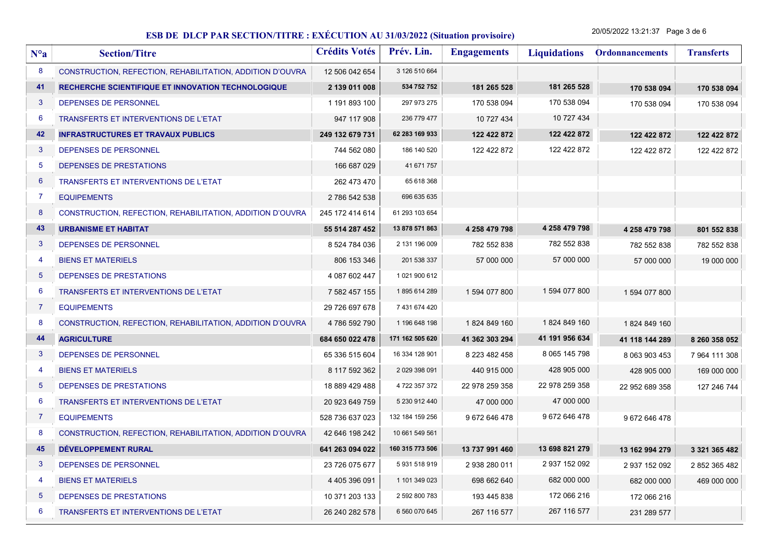20/05/2022 13:21:37 Page 3 de 6

| $N^o a$         | <b>Section/Titre</b>                                      | <b>Crédits Votés</b> | Prév. Lin.      | <b>Engagements</b> | <b>Liquidations</b> | <b>Ordonnancements</b> | <b>Transferts</b> |
|-----------------|-----------------------------------------------------------|----------------------|-----------------|--------------------|---------------------|------------------------|-------------------|
| 8               | CONSTRUCTION, REFECTION, REHABILITATION, ADDITION D'OUVRA | 12 506 042 654       | 3 126 510 664   |                    |                     |                        |                   |
| 41              | RECHERCHE SCIENTIFIQUE ET INNOVATION TECHNOLOGIQUE        | 2 139 011 008        | 534 752 752     | 181 265 528        | 181 265 528         | 170 538 094            | 170 538 094       |
| $\mathbf{3}$    | DEPENSES DE PERSONNEL                                     | 1 191 893 100        | 297 973 275     | 170 538 094        | 170 538 094         | 170 538 094            | 170 538 094       |
| 6               | <b>TRANSFERTS ET INTERVENTIONS DE L'ETAT</b>              | 947 117 908          | 236 779 477     | 10 727 434         | 10 727 434          |                        |                   |
| 42              | <b>INFRASTRUCTURES ET TRAVAUX PUBLICS</b>                 | 249 132 679 731      | 62 283 169 933  | 122 422 872        | 122 422 872         | 122 422 872            | 122 422 872       |
| 3               | DEPENSES DE PERSONNEL                                     | 744 562 080          | 186 140 520     | 122 422 872        | 122 422 872         | 122 422 872            | 122 422 872       |
| 5               | DEPENSES DE PRESTATIONS                                   | 166 687 029          | 41 671 757      |                    |                     |                        |                   |
| $6\phantom{1}6$ | TRANSFERTS ET INTERVENTIONS DE L'ETAT                     | 262 473 470          | 65 618 368      |                    |                     |                        |                   |
| 7               | <b>EQUIPEMENTS</b>                                        | 2 786 542 538        | 696 635 635     |                    |                     |                        |                   |
| 8               | CONSTRUCTION, REFECTION, REHABILITATION, ADDITION D'OUVRA | 245 172 414 614      | 61 293 103 654  |                    |                     |                        |                   |
| 43              | <b>URBANISME ET HABITAT</b>                               | 55 514 287 452       | 13 878 571 863  | 4 258 479 798      | 4 258 479 798       | 4 258 479 798          | 801 552 838       |
| 3               | <b>DEPENSES DE PERSONNEL</b>                              | 8 524 784 036        | 2 131 196 009   | 782 552 838        | 782 552 838         | 782 552 838            | 782 552 838       |
| 4               | <b>BIENS ET MATERIELS</b>                                 | 806 153 346          | 201 538 337     | 57 000 000         | 57 000 000          | 57 000 000             | 19 000 000        |
| 5               | DEPENSES DE PRESTATIONS                                   | 4 087 602 447        | 1 021 900 612   |                    |                     |                        |                   |
| 6               | <b>TRANSFERTS ET INTERVENTIONS DE L'ETAT</b>              | 7 582 457 155        | 1895614289      | 1 594 077 800      | 1 594 077 800       | 1 594 077 800          |                   |
| 7               | <b>EQUIPEMENTS</b>                                        | 29 726 697 678       | 7 431 674 420   |                    |                     |                        |                   |
| 8               | CONSTRUCTION, REFECTION, REHABILITATION, ADDITION D'OUVRA | 4786 592 790         | 1 196 648 198   | 1824 849 160       | 1824 849 160        | 1824 849 160           |                   |
| 44              | <b>AGRICULTURE</b>                                        | 684 650 022 478      | 171 162 505 620 | 41 362 303 294     | 41 191 956 634      | 41 118 144 289         | 8 260 358 052     |
| 3               | DEPENSES DE PERSONNEL                                     | 65 336 515 604       | 16 334 128 901  | 8 223 482 458      | 8 065 145 798       | 8 063 903 453          | 7 964 111 308     |
| 4               | <b>BIENS ET MATERIELS</b>                                 | 8 117 592 362        | 2 029 398 091   | 440 915 000        | 428 905 000         | 428 905 000            | 169 000 000       |
| $\overline{5}$  | DEPENSES DE PRESTATIONS                                   | 18 889 429 488       | 4 722 357 372   | 22 978 259 358     | 22 978 259 358      | 22 952 689 358         | 127 246 744       |
| 6               | TRANSFERTS ET INTERVENTIONS DE L'ETAT                     | 20 923 649 759       | 5 230 912 440   | 47 000 000         | 47 000 000          |                        |                   |
| 7               | <b>EQUIPEMENTS</b>                                        | 528 736 637 023      | 132 184 159 256 | 9 672 646 478      | 9 672 646 478       | 9672646478             |                   |
| 8               | CONSTRUCTION, REFECTION, REHABILITATION, ADDITION D'OUVRA | 42 646 198 242       | 10 661 549 561  |                    |                     |                        |                   |
| 45              | DÉVELOPPEMENT RURAL                                       | 641 263 094 022      | 160 315 773 506 | 13 737 991 460     | 13 698 821 279      | 13 162 994 279         | 3 321 365 482     |
| 3               | DEPENSES DE PERSONNEL                                     | 23 726 075 677       | 5931518919      | 2 938 280 011      | 2 937 152 092       | 2 937 152 092          | 2 852 365 482     |
| 4               | <b>BIENS ET MATERIELS</b>                                 | 4 405 396 091        | 1 101 349 023   | 698 662 640        | 682 000 000         | 682 000 000            | 469 000 000       |
| 5               | DEPENSES DE PRESTATIONS                                   | 10 371 203 133       | 2 592 800 783   | 193 445 838        | 172 066 216         | 172 066 216            |                   |
| 6               | <b>TRANSFERTS ET INTERVENTIONS DE L'ETAT</b>              | 26 240 282 578       | 6 560 070 645   | 267 116 577        | 267 116 577         | 231 289 577            |                   |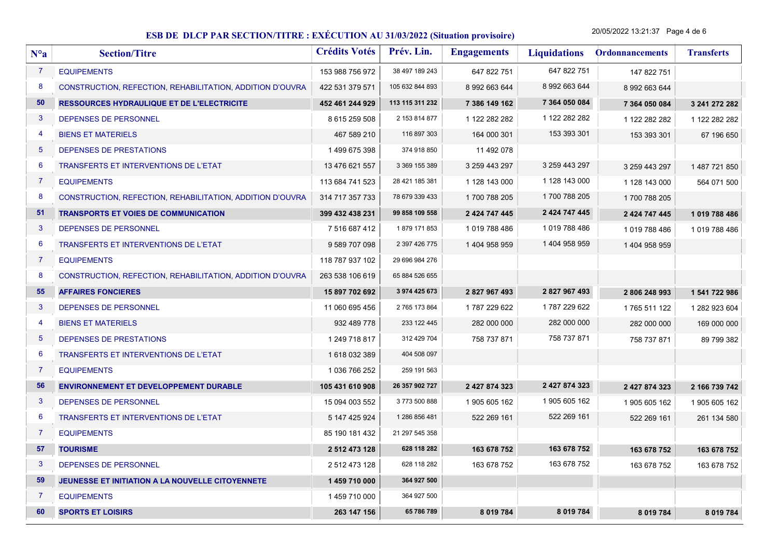20/05/2022 13:21:37 Page 4 de 6

| $N^o$ a         | <b>Section/Titre</b>                                      | <b>Crédits Votés</b> | Prév. Lin.      | <b>Engagements</b> | <b>Liquidations</b> | <b>Ordonnancements</b> | <b>Transferts</b> |
|-----------------|-----------------------------------------------------------|----------------------|-----------------|--------------------|---------------------|------------------------|-------------------|
| $\overline{7}$  | <b>EQUIPEMENTS</b>                                        | 153 988 756 972      | 38 497 189 243  | 647 822 751        | 647 822 751         | 147 822 751            |                   |
| 8               | CONSTRUCTION, REFECTION, REHABILITATION, ADDITION D'OUVRA | 422 531 379 571      | 105 632 844 893 | 8 992 663 644      | 8 992 663 644       | 8 992 663 644          |                   |
| 50              | <b>RESSOURCES HYDRAULIQUE ET DE L'ELECTRICITE</b>         | 452 461 244 929      | 113 115 311 232 | 7 386 149 162      | 7 364 050 084       | 7 364 050 084          | 3 241 272 282     |
| $\mathbf{3}$    | DEPENSES DE PERSONNEL                                     | 8 615 259 508        | 2 153 814 877   | 1 122 282 282      | 1 122 282 282       | 1 122 282 282          | 1 122 282 282     |
| 4               | <b>BIENS ET MATERIELS</b>                                 | 467 589 210          | 116 897 303     | 164 000 301        | 153 393 301         | 153 393 301            | 67 196 650        |
| $5\overline{5}$ | DEPENSES DE PRESTATIONS                                   | 1499675398           | 374 918 850     | 11 492 078         |                     |                        |                   |
| 6               | TRANSFERTS ET INTERVENTIONS DE L'ETAT                     | 13 476 621 557       | 3 369 155 389   | 3 259 443 297      | 3 259 443 297       | 3 259 443 297          | 1 487 721 850     |
| $\overline{7}$  | <b>EQUIPEMENTS</b>                                        | 113 684 741 523      | 28 421 185 381  | 1 128 143 000      | 1 128 143 000       | 1 128 143 000          | 564 071 500       |
| 8               | CONSTRUCTION, REFECTION, REHABILITATION, ADDITION D'OUVRA | 314 717 357 733      | 78 679 339 433  | 1700 788 205       | 1700 788 205        | 1700 788 205           |                   |
| 51              | <b>TRANSPORTS ET VOIES DE COMMUNICATION</b>               | 399 432 438 231      | 99 858 109 558  | 2 424 747 445      | 2 424 747 445       | 2 424 747 445          | 1 019 788 486     |
| 3               | DEPENSES DE PERSONNEL                                     | 7 516 687 412        | 1879 171 853    | 1019 788 486       | 1019 788 486        | 1019788486             | 1019 788 486      |
| 6               | TRANSFERTS ET INTERVENTIONS DE L'ETAT                     | 9 589 707 098        | 2 397 426 775   | 1 404 958 959      | 1404 958 959        | 1 404 958 959          |                   |
| $\overline{7}$  | <b>EQUIPEMENTS</b>                                        | 118 787 937 102      | 29 696 984 276  |                    |                     |                        |                   |
| 8               | CONSTRUCTION, REFECTION, REHABILITATION, ADDITION D'OUVRA | 263 538 106 619      | 65 884 526 655  |                    |                     |                        |                   |
| 55              | <b>AFFAIRES FONCIERES</b>                                 | 15 897 702 692       | 3 974 425 673   | 2827967493         | 2827967493          | 2806248993             | 1 541 722 986     |
| $\mathbf{3}$    | DEPENSES DE PERSONNEL                                     | 11 060 695 456       | 2 765 173 864   | 1787 229 622       | 1787 229 622        | 1765 511 122           | 1 282 923 604     |
| 4               | <b>BIENS ET MATERIELS</b>                                 | 932 489 778          | 233 122 445     | 282 000 000        | 282 000 000         | 282 000 000            | 169 000 000       |
| $5\phantom{.0}$ | DEPENSES DE PRESTATIONS                                   | 1 249 718 817        | 312 429 704     | 758 737 871        | 758 737 871         | 758 737 871            | 89 799 382        |
| 6               | TRANSFERTS ET INTERVENTIONS DE L'ETAT                     | 1618032389           | 404 508 097     |                    |                     |                        |                   |
| $\overline{7}$  | <b>EQUIPEMENTS</b>                                        | 1 036 766 252        | 259 191 563     |                    |                     |                        |                   |
| 56              | ENVIRONNEMENT ET DEVELOPPEMENT DURABLE                    | 105 431 610 908      | 26 357 902 727  | 2 427 874 323      | 2 427 874 323       | 2 427 874 323          | 2 166 739 742     |
| $\mathbf{3}$    | DEPENSES DE PERSONNEL                                     | 15 094 003 552       | 3773 500 888    | 1 905 605 162      | 1 905 605 162       | 1 905 605 162          | 1 905 605 162     |
| 6               | <b>TRANSFERTS ET INTERVENTIONS DE L'ETAT</b>              | 5 147 425 924        | 1 286 856 481   | 522 269 161        | 522 269 161         | 522 269 161            | 261 134 580       |
| $\overline{7}$  | <b>EQUIPEMENTS</b>                                        | 85 190 181 432       | 21 297 545 358  |                    |                     |                        |                   |
| 57              | <b>TOURISME</b>                                           | 2 512 473 128        | 628 118 282     | 163 678 752        | 163 678 752         | 163 678 752            | 163 678 752       |
| $\mathbf{3}$    | DEPENSES DE PERSONNEL                                     | 2 512 473 128        | 628 118 282     | 163 678 752        | 163 678 752         | 163 678 752            | 163 678 752       |
| 59              | JEUNESSE ET INITIATION A LA NOUVELLE CITOYENNETE          | 1459710000           | 364 927 500     |                    |                     |                        |                   |
| $\overline{7}$  | <b>EQUIPEMENTS</b>                                        | 1459710000           | 364 927 500     |                    |                     |                        |                   |
| 60              | <b>SPORTS ET LOISIRS</b>                                  | 263 147 156          | 65 786 789      | 8 0 19 7 8 4       | 8 019 784           | 8 019 784              | 8 019 784         |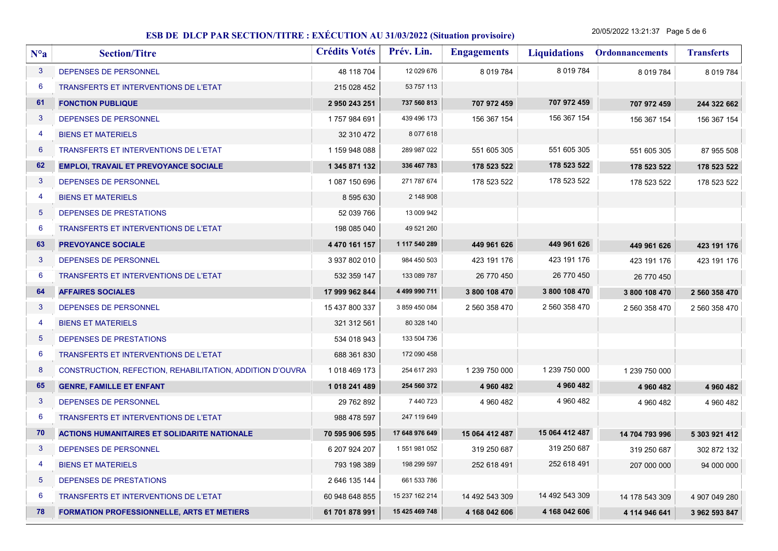20/05/2022 13:21:37 Page 5 de 6

| $N^o$ a         | <b>Section/Titre</b>                                      | <b>Crédits Votés</b> | Prév. Lin.     | <b>Engagements</b> | <b>Liquidations</b> | <b>Ordonnancements</b> | <b>Transferts</b> |
|-----------------|-----------------------------------------------------------|----------------------|----------------|--------------------|---------------------|------------------------|-------------------|
| $\mathbf{3}$    | DEPENSES DE PERSONNEL                                     | 48 118 704           | 12 029 676     | 8 019 784          | 8 0 19 7 8 4        | 8 0 19 7 8 4           | 8 0 19 7 84       |
| $6\phantom{1}6$ | <b>TRANSFERTS ET INTERVENTIONS DE L'ETAT</b>              | 215 028 452          | 53 757 113     |                    |                     |                        |                   |
| 61              | <b>FONCTION PUBLIQUE</b>                                  | 2 950 243 251        | 737 560 813    | 707 972 459        | 707 972 459         | 707 972 459            | 244 322 662       |
| 3               | DEPENSES DE PERSONNEL                                     | 1757984691           | 439 496 173    | 156 367 154        | 156 367 154         | 156 367 154            | 156 367 154       |
| $\overline{4}$  | <b>BIENS ET MATERIELS</b>                                 | 32 310 472           | 8 0 7 7 6 1 8  |                    |                     |                        |                   |
| 6               | TRANSFERTS ET INTERVENTIONS DE L'ETAT                     | 1 159 948 088        | 289 987 022    | 551 605 305        | 551 605 305         | 551 605 305            | 87 955 508        |
| 62              | <b>EMPLOI, TRAVAIL ET PREVOYANCE SOCIALE</b>              | 1 345 871 132        | 336 467 783    | 178 523 522        | 178 523 522         | 178 523 522            | 178 523 522       |
| 3               | <b>DEPENSES DE PERSONNEL</b>                              | 1 087 150 696        | 271 787 674    | 178 523 522        | 178 523 522         | 178 523 522            | 178 523 522       |
| $\overline{4}$  | <b>BIENS ET MATERIELS</b>                                 | 8 595 630            | 2 148 908      |                    |                     |                        |                   |
| $\overline{5}$  | DEPENSES DE PRESTATIONS                                   | 52 039 766           | 13 009 942     |                    |                     |                        |                   |
| $6\phantom{1}6$ | <b>TRANSFERTS ET INTERVENTIONS DE L'ETAT</b>              | 198 085 040          | 49 521 260     |                    |                     |                        |                   |
| 63              | <b>PREVOYANCE SOCIALE</b>                                 | 4 470 161 157        | 1 117 540 289  | 449 961 626        | 449 961 626         | 449 961 626            | 423 191 176       |
| 3               | DEPENSES DE PERSONNEL                                     | 3 937 802 010        | 984 450 503    | 423 191 176        | 423 191 176         | 423 191 176            | 423 191 176       |
| 6               | TRANSFERTS ET INTERVENTIONS DE L'ETAT                     | 532 359 147          | 133 089 787    | 26 770 450         | 26 770 450          | 26 770 450             |                   |
| 64              | <b>AFFAIRES SOCIALES</b>                                  | 17 999 962 844       | 4 499 990 711  | 3 800 108 470      | 3 800 108 470       | 3 800 108 470          | 2 560 358 470     |
| $\mathbf{3}$    | DEPENSES DE PERSONNEL                                     | 15 437 800 337       | 3 859 450 084  | 2 560 358 470      | 2 560 358 470       | 2 560 358 470          | 2 560 358 470     |
| -4              | <b>BIENS ET MATERIELS</b>                                 | 321 312 561          | 80 328 140     |                    |                     |                        |                   |
| 5               | DEPENSES DE PRESTATIONS                                   | 534 018 943          | 133 504 736    |                    |                     |                        |                   |
| 6               | TRANSFERTS ET INTERVENTIONS DE L'ETAT                     | 688 361 830          | 172 090 458    |                    |                     |                        |                   |
| 8               | CONSTRUCTION, REFECTION, REHABILITATION, ADDITION D'OUVRA | 1018 469 173         | 254 617 293    | 1 239 750 000      | 1 239 750 000       | 1 239 750 000          |                   |
| 65              | <b>GENRE, FAMILLE ET ENFANT</b>                           | 1 018 241 489        | 254 560 372    | 4 960 482          | 4 960 482           | 4 960 482              | 4 960 482         |
| 3               | DEPENSES DE PERSONNEL                                     | 29 762 892           | 7 440 723      | 4 960 482          | 4 960 482           | 4 960 482              | 4 960 482         |
| 6               | <b>TRANSFERTS ET INTERVENTIONS DE L'ETAT</b>              | 988 478 597          | 247 119 649    |                    |                     |                        |                   |
| 70              | <b>ACTIONS HUMANITAIRES ET SOLIDARITE NATIONALE</b>       | 70 595 906 595       | 17 648 976 649 | 15 064 412 487     | 15 064 412 487      | 14 704 793 996         | 5 303 921 412     |
| $\mathbf{3}$    | DEPENSES DE PERSONNEL                                     | 6 207 924 207        | 1 551 981 052  | 319 250 687        | 319 250 687         | 319 250 687            | 302 872 132       |
| -4              | <b>BIENS ET MATERIELS</b>                                 | 793 198 389          | 198 299 597    | 252 618 491        | 252 618 491         | 207 000 000            | 94 000 000        |
| 5               | DEPENSES DE PRESTATIONS                                   | 2 646 135 144        | 661 533 786    |                    |                     |                        |                   |
| 6               | <b>TRANSFERTS ET INTERVENTIONS DE L'ETAT</b>              | 60 948 648 855       | 15 237 162 214 | 14 492 543 309     | 14 492 543 309      | 14 178 543 309         | 4 907 049 280     |
| 78              | <b>FORMATION PROFESSIONNELLE, ARTS ET METIERS</b>         | 61 701 878 991       | 15 425 469 748 | 4 168 042 606      | 4 168 042 606       | 4 114 946 641          | 3 962 593 847     |